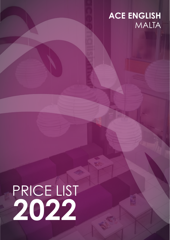# **ACE ENGLISH** MALTA

# **2022** PRICE LIST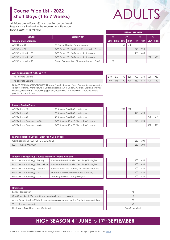# Course Price List - 2022<br>Short Stays (1 to 7 Weeks) ADULTS

All Prices are in Euros (€) and per Person per Week Lessons may be held in the morning or afternoon Each Lesson = 45 Minutes

| <b>COURSE</b>                  | <b>DESCRIPTION</b>                           |
|--------------------------------|----------------------------------------------|
| <b>General English Courses</b> |                                              |
| ACE Group 20                   | 20 General English Group Lessons             |
| ACE Group 30                   | ACE Group 20 + 10 Group Conversation Classes |
| <b>ACE Combination 30</b>      | ACE Group 20 + 10 Private 1 to 1 Lessons     |
| ACE Combination 40             | ACE Group 20 + 20 Private 1 to 1 Lessons     |
| ACE Conversation 10            | Group Conversation Classes (Afternoon Only)  |

| ADULTS |  |  |
|--------|--|--|
|        |  |  |

| <b>LESSONS PER WEEK</b> |             |     |             |                    |     |     |      |  |  |
|-------------------------|-------------|-----|-------------|--------------------|-----|-----|------|--|--|
|                         | 10          |     | 20          |                    | 30  |     | 40   |  |  |
| Low                     | <b>High</b> | Low | <b>High</b> | <b>High</b><br>Low |     | Low | High |  |  |
|                         |             | 160 | 210         |                    |     |     |      |  |  |
|                         |             |     |             | 240                | 290 |     |      |  |  |
|                         |             |     |             | 400                | 450 |     |      |  |  |
|                         |             |     |             |                    |     | 630 | 680  |  |  |
|                         | 80          |     |             |                    |     |     |      |  |  |

240 | 290 | 470 | 520 | 700 | 750 | 930 | 980 190 | 215 | 390 | 400 | 550 | 575 | 725 | 750

### **ACE Personalised 10 / 20 / 30 / 40**

1 to 1 Private Lessons

1 to 2 Private Lessons

**Business English Courses**

*Subjects for Personalised Courses:* General English, Business, Exam Preparation, Academic, Teacher Training, Architecture & Civil Engineering, Art & Design, Aviation, Creative Writing, Finance, Historical & Cultural Engagement, Hospitality, Law, Maritime, Medicine, Photography, Travel & Tourism

ACE Business 20 20 Business English Group Lessons ACE Business 30 30 Business English Group Lessons ACE Business 40 **40 Business English Group Lessons** 

ACE Business Combination 30 ACE Business 20 + 10 Private 1 to 1 Lessons ACE Business Combination 40 ACE Business 20 + 20 Private 1 to 1 Lessons

|  | 280 |     |     |     |     |
|--|-----|-----|-----|-----|-----|
|  |     | 420 | 470 |     |     |
|  |     |     |     | 560 | 610 |
|  |     | 520 | 570 |     |     |
|  |     |     |     | 750 | 800 |

| <b>Exam Preparation Courses (Exam Fee NOT Included)</b> |  |  |     |     |  |
|---------------------------------------------------------|--|--|-----|-----|--|
| Cambridge ESOL (KET, PET, FCE, CAE, CPE)                |  |  | 250 | 300 |  |
| <b>IELTS - 6 Weeks Minimum</b>                          |  |  | 250 | 300 |  |

| Teacher Training Group Courses (Erasmus+ Funding Available) |                                                    |  |  |     |     |  |
|-------------------------------------------------------------|----------------------------------------------------|--|--|-----|-----|--|
| Practical Methodology - Primary                             | Review & Refresh Modern Teaching Strategies        |  |  | 400 | 450 |  |
| Practical Methodology - Secondary                           | Review & Refresh Modern Teaching Strategies        |  |  | 400 | 450 |  |
| Practical Methodology - Dyslexia                            | Ideas to Facilitate Learning for Dyslexic Learners |  |  | 400 | 450 |  |
| Practical Methodology - IWB                                 | Hands-On Interactive Whiteboard Training           |  |  | 400 | 450 |  |
| Practical Methodology - CLIL                                | <b>Teaching Subjects through English</b>           |  |  | 400 | 450 |  |

| Other Fees                                                                                |                 |
|-------------------------------------------------------------------------------------------|-----------------|
| <b>School Registration</b>                                                                | 45              |
| One Coursebook (Any additional book/s will be at a charge)                                | 35              |
| Airport Return Transfers (Obligatory when booking Apartment or Host Family Accommodation) | 50              |
| Visa Letter Administration                                                                | 40              |
| Health and Travel Insurance (Optional)                                                    | From 8 per Week |
|                                                                                           |                 |

# **HIGH SEASON 4**th **JUNE** TO **17**th **SEPTEMBER**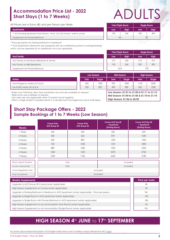## **Accommodation Price List - 2022 Short Stays (1 to 7 Weeks)**

ADULTS

| Il Prices are in Euros (€) and per Person per Week                           |       | <b>Twin/Triple Room</b> |     | Single Room |
|------------------------------------------------------------------------------|-------|-------------------------|-----|-------------|
| <b>Apartments</b>                                                            | Low   | <b>High</b>             | Low | High        |
| ** ACE Sharing Apartment (Twin Room) - From 10 to 25 minutes' walk to school | 190   | 240                     | 290 | 390         |
| Supplement for Private Bathroom                                              | $*40$ |                         | 80  |             |

\* Price per person for sharing bathroom in bedroom

\*\* ACE Apartments: Bedrooms are equipped with air-conditioning systems (cooling/heating)

which can be operated at an additional cost (coin operated).

| <b>Host Family</b>                             |
|------------------------------------------------|
| Host Family on Half Board (Breakfast & Dinner) |
| Host Family on B&B (Breakfast)                 |
| Supplement for Private Bathroom                |

|     | <b>Twin/Triple Room</b> | <b>Single Room</b> |             |  |  |  |
|-----|-------------------------|--------------------|-------------|--|--|--|
| Low | <b>High</b>             | Low                | <b>High</b> |  |  |  |
| 210 | 260                     | 310                | 410         |  |  |  |
| 190 | 240                     | 290                | 390         |  |  |  |
|     | N/A                     |                    | 100         |  |  |  |

|                                | <b>Low Season</b> |        |             | <b>Mid Season</b> | <b>High Season</b> |                     |  |
|--------------------------------|-------------------|--------|-------------|-------------------|--------------------|---------------------|--|
| <b>Hotels</b>                  | <b>Twin</b>       | Single | <b>Twin</b> | Single            | <b>Twin</b>        | Single <sup>1</sup> |  |
| Hyatt Regency Malta (5*) B & B | 600               | 1200   | 900         | 1800              | 1100               | 2200                |  |
| be.HOTEL Malta $(4^*)$ B & B   | 330               | 500    | 490         | 980               | 650                | 1300                |  |

- Rates over Christmas, New Year and Easter vary and are available on request.

- Triple rooms are available on request.

- Twin rates are only applicable when 2 students travel together.

- When a single student is booked alone in a double room the single room price shall apply.

**Low Season: 01/01 to 31/03 & 01/11 to 31/12 Mid Season: 01/04 to 31/05 & 01/10 to 31/10 High Season: 01/06 to 30/09**

## **Short Stay Package Offers - 2022 Sample Bookings of 1 to 7 Weeks (Low Season)**

| <b>Weeks</b>              | <b>Course Only</b><br><b>ACE Group 20</b> | <b>Course Only</b><br><b>ACE Group 30</b> | <b>Course ACE Grp 20</b><br>+ Apartment<br>(Sharing Room) | <b>Course ACE Grp 30</b><br>+ Apartment<br>(Sharing Room) |  |  |  |  |
|---------------------------|-------------------------------------------|-------------------------------------------|-----------------------------------------------------------|-----------------------------------------------------------|--|--|--|--|
| 1 Week                    | 240                                       | 320                                       | 520                                                       | 600                                                       |  |  |  |  |
| 2 Weeks                   | 400                                       | 560                                       | 870                                                       | 1030                                                      |  |  |  |  |
| 3 Weeks                   | 560                                       | 800                                       | 1220                                                      | 1460                                                      |  |  |  |  |
| 4 Weeks                   | 720                                       | 1040                                      | 1570                                                      | 1890                                                      |  |  |  |  |
| 5 Weeks                   | 880                                       | 1280                                      | 1920                                                      | 2320                                                      |  |  |  |  |
| 6 Weeks                   | 1040                                      | 1520                                      | 2270                                                      | 2750                                                      |  |  |  |  |
| 7 Weeks                   | 1200                                      | 1760                                      | 2620                                                      | 3180                                                      |  |  |  |  |
| Return Airport Transfers  | N/A                                       |                                           |                                                           | Included                                                  |  |  |  |  |
| Accom. Service Fee        |                                           | N/A                                       |                                                           | Included                                                  |  |  |  |  |
| School Registration Fee   | Included                                  |                                           |                                                           |                                                           |  |  |  |  |
| One Coursebook            |                                           |                                           | Included                                                  |                                                           |  |  |  |  |
| <b>Weekly Supplements</b> |                                           |                                           |                                                           | Price per week                                            |  |  |  |  |

| <b>Weekly Supplements</b>                                                                    | <b>Price per week</b> |
|----------------------------------------------------------------------------------------------|-----------------------|
| Upgrade to ACE Group 30 Course (when applicable)                                             | -80                   |
| High Season Supplement on Course (when applicable)                                           | 50                    |
| Upgrade to Sharing Bathroom in Bedroom in ACE Apartment (when applicable) - Price per person | $*40$                 |
| Upgrade to Single Room in ACE Apartment (when applicable)                                    | 100                   |
| Upgrade to Single Room with Private Bathroom in ACE Apartment (when applicable)              | 180                   |
| High Season Supplement on Accommodation (Twin Room) (when applicable)                        | 50                    |
| High Season Supplement on Accommodation (Single Room) (when applicable)                      | 100                   |

# **HIGH SEASON 4**th **JUNE** TO **17**th **SEPTEMBER**

For all the above listed informations ACE English Malta Terms and Conditions Apply (Please find T&C [here](https://www.aceenglishmalta.com/terms-and-conditions/))

ACE English Malta - Price List 2022 **2**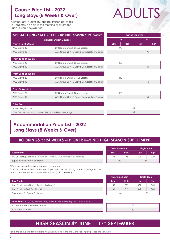## **Course Price List - 2022 Long Stays (8 Weeks & Over)**

All Prices are in Euros (€) and per Person per Week Lessons may be held in the morning or afternoon Each Lesson = 45 Minutes

# ADULTS

| SPECIAL LONG STAY OFFER - NO HIGH SEASON SUPPLEMENT        |                                              |     |             | <b>LESSONS PER WEEK</b> |             |
|------------------------------------------------------------|----------------------------------------------|-----|-------------|-------------------------|-------------|
| <b>General English Courses</b>                             |                                              | 20  |             | 30                      |             |
| From 8 to 11 Weeks                                         |                                              | Low | <b>High</b> | Low                     | <b>High</b> |
| ACE Group 20                                               | 20 General English Group Lessons             |     | 140         |                         |             |
| ACE Group 30                                               | ACE Group 20 + 10 Group Conversation Classes |     |             |                         | 190         |
| From 12 to 19 Weeks                                        |                                              |     |             |                         |             |
| ACE Group 20                                               | 20 General English Group Lessons             |     | 130         |                         |             |
| ACE Group 30                                               | ACE Group 20 + 10 Group Conversation Classes |     |             |                         | 180         |
| From 20 to 35 Weeks                                        |                                              |     |             |                         |             |
| ACE Group 20                                               | 20 General English Group Lessons             |     | 110         |                         |             |
| ACE Group 30                                               | ACE Group 20 + 10 Group Conversation Classes |     |             |                         | 160         |
| From 36 Weeks +                                            |                                              |     |             |                         |             |
| ACE Group 20                                               | 20 General English Group Lessons             |     | 100         |                         |             |
| ACE Group 30                                               | ACE Group 20 + 10 Group Conversation Classes |     |             |                         | 150         |
| <b>Other Fees</b>                                          |                                              |     |             |                         |             |
| <b>School Registration</b>                                 |                                              |     |             | 45                      |             |
| One Coursebook (Any additional book/s will be at a charge) |                                              |     |             | 35                      |             |

# **Accommodation Price List - 2022 Long Stays (8 Weeks & Over)**

### **BOOKINGS** OF **24 WEEKS** AND **OVER** HAVE **NO HIGH SEASON SUPPLEMENT**

|                                                                              | <b>Twin/Triple Room</b> |             | Single Room |             |
|------------------------------------------------------------------------------|-------------------------|-------------|-------------|-------------|
| <b>Apartments</b>                                                            | Low.                    | <b>High</b> | Low         | <b>High</b> |
| ** ACE Sharing Apartment (Twin Room) - From 10 to 25 minutes' walk to school | 45                      | 195         | 220         | 320         |
| Supplement for Private Bathroom                                              | $*40$                   |             | 80          |             |
|                                                                              |                         |             |             |             |

\* Price per person for sharing bathroom in bedroom

\*\* ACE Apartments: Bedrooms are equipped with air-conditioning systems (cooling/heating) which can be operated at an additional cost (coin operated).

| <b>Host Family</b>                             |
|------------------------------------------------|
| Host Family on Half Board (Breakfast & Dinner) |
| Host Family on B&B (Breakfast Only)            |
| Supplement for Private Bathroom                |

| <b>Twin/Triple Room</b> |             |     | Single Room |
|-------------------------|-------------|-----|-------------|
| Low                     | <b>High</b> | Low | <b>High</b> |
| 180                     | 230         | 250 | 350         |
| 165                     | 215         | 240 | 340         |
|                         | N/A         |     |             |

| <b>Other Fees</b> (Obligatory when booking Apartment or Host Family Accommodation) |  |
|------------------------------------------------------------------------------------|--|
| Accommodation Reservation Fee                                                      |  |
| <b>Airport Return Transfers</b>                                                    |  |

# **HIGH SEASON 4**th **JUNE** TO **17**th **SEPTEMBER**

For all the above listed informations ACE English Malta Terms and Conditions Apply (Please find T&C [here](https://www.aceenglishmalta.com/terms-and-conditions/))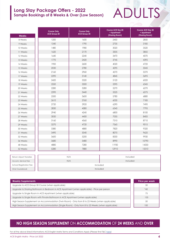### **Long Stay Package Offers - 2022 Sample Bookings of 8 Weeks & Over (Low Season)**

# ADULTS

| <b>Weeks</b>             | <b>Course Only</b><br><b>ACE Group 20</b> | <b>Course Only</b><br><b>ACE Group 30</b> | <b>Course ACE Grp 20</b><br>+ Apartment<br>(Sharing Room) | Course ACE Grp 30<br>+ Apartment<br>(Sharing Room) |
|--------------------------|-------------------------------------------|-------------------------------------------|-----------------------------------------------------------|----------------------------------------------------|
| 8 Weeks                  | 1200                                      | 1600                                      | 2450                                                      | 2850                                               |
| 9 Weeks                  | 1340                                      | 1790                                      | 2735                                                      | 3185                                               |
| 10 Weeks                 | 1480                                      | 1980                                      | 3020                                                      | 3520                                               |
| 11 Weeks                 | 1620                                      | 2170                                      | 3305                                                      | 3855                                               |
| 12 Weeks                 | 1640                                      | 2240                                      | 3470                                                      | 4070                                               |
| 13 Weeks                 | 1770                                      | 2420                                      | 3745                                                      | 4395                                               |
| 14 Weeks                 | 1900                                      | 2600                                      | 4020                                                      | 4720                                               |
| 15 Weeks                 | 2030                                      | 2780                                      | 4295                                                      | 5045                                               |
| 16 Weeks                 | 2160                                      | 2960                                      | 4570                                                      | 5370                                               |
| 17 Weeks                 | 2290                                      | 3140                                      | 4845                                                      | 5695                                               |
| 18 Weeks                 | 2420                                      | 3320                                      | 5120                                                      | 6020                                               |
| 19 Weeks                 | 2550                                      | 3500                                      | 5395                                                      | 6345                                               |
| 20 Weeks                 | 2280                                      | 3280                                      | 5270                                                      | 6270                                               |
| 21 Weeks                 | 2390                                      | 3440                                      | 5525                                                      | 6575                                               |
| 22 Weeks                 | 2500                                      | 3600                                      | 5780                                                      | 6880                                               |
| 23 Weeks                 | 2610                                      | 3760                                      | 6035                                                      | 7185                                               |
| 24 Weeks                 | 2720                                      | 3920                                      | 6290                                                      | 7490                                               |
| 25 Weeks                 | 2830                                      | 4080                                      | 6545                                                      | 7795                                               |
| 26 Weeks                 | 2940                                      | 4240                                      | 6800                                                      | 8100                                               |
| 27 Weeks                 | 3050                                      | 4400                                      | 7055                                                      | 8405                                               |
| 28 Weeks                 | 3160                                      | 4560                                      | 7310                                                      | 8710                                               |
| 29 Weeks                 | 3270                                      | 4720                                      | 7565                                                      | 9015                                               |
| 30 Weeks                 | 3380                                      | 4880                                      | 7820                                                      | 9320                                               |
| 31 Weeks                 | 3490                                      | 5040                                      | 8075                                                      | 9625                                               |
| 32 Weeks                 | 3600                                      | 5200                                      | 8330                                                      | 9930                                               |
| 36 Weeks                 | 3680                                      | 5480                                      | 8990                                                      | 10790                                              |
| 48 Weeks                 | 4880                                      | 7280                                      | 11930                                                     | 14330                                              |
| 52 Weeks                 | 5280                                      | 7880                                      | 12910                                                     | 15510                                              |
| Return Airport Transfers | N/A                                       |                                           |                                                           | Included                                           |
|                          |                                           |                                           |                                                           |                                                    |

| Return Airport Transfers | N/A      | Included |
|--------------------------|----------|----------|
| Accom. Service Fee       | N/A      | Included |
| School Registration Fee  | Included |          |
| One Coursebook           | Included |          |

| <b>Weekly Supplements</b>                                                                         |
|---------------------------------------------------------------------------------------------------|
| Upgrade to ACE Group 30 Course (when applicable)                                                  |
| Upgrade to Sharing Bathroom in Bedroom in ACE Apartment (when applicable) - Price per person      |
| Upgrade to Single Room in ACE Apartment (when applicable)                                         |
| Upgrade to Single Room with Private Bathroom in ACE Apartment (when applicable)                   |
| High Season Supplement on Accommodation (Twin Room) - Only from 8 to 23 Weeks (when applicable)   |
| High Season Supplement on Accommodation (Single Room) - Only from 8 to 23 Weeks (when applicable) |

### **NO HIGH SEASON SUPPLEMENT** ON **ACCOMMODATION** OF **24 WEEKS** AND **OVER**

For all the above listed informations ACE English Malta Terms and Conditions Apply (Please find T&C [here](https://www.aceenglishmalta.com/terms-and-conditions/))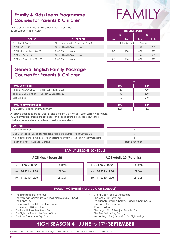# **Family & Kids/Teens Programme Family & Kids/Teens Programme**<br> **Courses for Parents & Children**<br>
Courses for Parents & Children

All Prices are in Euros (€) and per Person per Week Each Lesson = 45 Minutes

| <b>COURSE</b>                   | <b>DESCRIPTION</b>                      |
|---------------------------------|-----------------------------------------|
| <b>Parent Adult Courses</b>     | Please refer to Adult Courses on Page 1 |
| ACE Kids Group 20               | <b>General English Group Lessons</b>    |
| ACE Kids Personalised 10 or 20  | 1 to 1 Private Lessons                  |
| ACE Teens Group 20              | <b>General English Group Lessons</b>    |
| ACE Teens Personalised 10 or 20 | 1 to 1 Private Lessons                  |

| <b>LESSONS PER WEEK</b> |                           |                    |     |  |
|-------------------------|---------------------------|--------------------|-----|--|
|                         | 10                        |                    | 20  |  |
| Low                     | <b>High</b>               | Low<br><b>High</b> |     |  |
|                         | Price According to Course |                    |     |  |
|                         |                           | 160                | 210 |  |
| 240                     | 290                       | 470                | 520 |  |
|                         |                           | 160                | 210 |  |
| 240                     | 290                       | 470                | 520 |  |

## **General English Family Package Courses for Parents & Children**

|                                                        | 20   |             |
|--------------------------------------------------------|------|-------------|
| <b>Family Course Pack</b>                              | Low  | <b>High</b> |
| Parent (ACE Group 20) + 1 Child (ACE Kids/Teens 20)    | 320  | 420         |
| 2 Parents (ACE Group 20) + 1 Child (ACE Kids/Teens 20) | 480  | 630         |
| Extra Kid/Teen                                         | 160  | 210         |
|                                                        |      |             |
| <b>Family Accommodation Pack</b>                       | Low  | <b>High</b> |
| ACE Apartment (2/3 Bedroom Apartment)                  | 1000 | 1200        |

ACE Apartment (2/3 Bedroom Apartment)

All above packages are in Euros ( $\epsilon$ ) and per Family per Week | Each Lesson = 45 Minutes ACE Apartments: Bedrooms are equipped with air-conditioning systems (cooling/heating) which can be operated at an additional cost (coin operated).

### **Other Fees**

School Registration

One Coursebook (Any additional book/s will be at a charge) (Adult Courses Only)

Airport Return Transfers (Obligatory when booking Apartment or Host Family Accommodation)

Health and Travel Insurance (Optional)

| 45              |  |
|-----------------|--|
| 35              |  |
| 50              |  |
| From 8 per Week |  |

### **FAMILY LESSONS SCHEDULE**

### **ACE Kids / Teens 20 ACE Adults 20 (Parents)**

| from 9:00 to 10:30      | lesson       | from $9:00$ to $10:30$  | <b>LESSON</b> |
|-------------------------|--------------|-------------------------|---------------|
| from $10:30$ to $11:00$ | <b>BREAK</b> | from $10:30$ to $11:00$ | <b>BREAK</b>  |
| from 11:00 to 12:30     | LESSON       | from 11:00 to 12:30     | LESSON        |

### **FAMILY ACTIVITIES (Avaiable on Request)**

- The Highlights of Malta Tour
- The Valletta Capital City Tour (Including Malta 5D Show)
- The Rabat Tour
- The Ancient Capital City of Mdina Tour
- The Medieval 3 Cities Tour
- The Beautiful North of Malta Tour
- The Sights of The South of Malta Tour
- The Blue Grotto Boat Trip Tour
- Malta Open-Top Bus Sightseeing
- The Gozo Highlights Tour
- Traditional Sliema Harbour & Grand Harbour Cruise
- Comino's Blue Lagoon
- Popeye Village
- The Hagar Qim & Mnajdra Temples Tour
- The Ten-Pin Bowling Evening
- Malta (Night Tour) Open-Top Bus Sightseeing

# **HIGH SEASON 4**th **JUNE** TO **17**th **SEPTEMBER**

For all the above listed informations ACE English Malta Terms and Conditions Apply (Please find T&C [here\)](https://www.aceenglishmalta.com/terms-and-conditions/)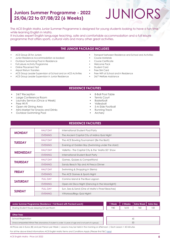## **Juniors Summer Programme - 2022 25/06/22 to 07/08/22 (6 Weeks)**

# JUNIORS

The ACE English Malta Junior Summer Programme is designed for young students looking to have a fun time while learning English in Malta.

It includes expert English language teaching, safe and comfortable accommodation and a full leisure programme that offers sports, cultural visits and many other great activities.

### **THE JUNIOR PACKAGE INCLUDES**

- ACE Group 20 for Juniors
- Junior Residence Accommodation as booked
- Outdoor Swimming Pool in Residence
- Full Leisure Activity Programme
- Online Placement Test
- Airport Return Transfers
- ACE Group Leader Supervision at School and on ACE Activities
- ACE Group Leader Supervision in Junior Residence
- Transport between Residence and School and Activities
- Course Materials
- Course Certificate
- Welcome Pack
- Student Card
- Free SIM Card
- Free WiFi at School and in Residence
- 24/7 Welfare Assistance

### **RESIDENCE FACILITIES**

- 24/7 Reception
- Large Conference Room
- Laundry Service (Once a Week)
- Free Wi-Fi
- Open-Air Dining Area
- Mini-Market for Snacks and Drinks
- Outdoor Swimming Pool
- 8-Ball Pool Table
- Tennis Court
- **Basketball**
- **Volleyball**
- 5-A-Side Football
- Running Track
- **Archery**

### **RESIDENCE FACILITIES**

| <b>MONDAY</b>    | <b>HALF DAY</b> | International Student Pool Party                  |  |  |
|------------------|-----------------|---------------------------------------------------|--|--|
|                  | <b>EVENING</b>  | The Ancient Capital City of Mdina Quiz Night      |  |  |
| <b>TUESDAY</b>   | <b>HALF DAY</b> | The ACE Bowling Tournament (Be the Best!)         |  |  |
|                  | <b>EVENING</b>  | Evening at Golden Bay (Swimming under the stars!) |  |  |
|                  | <b>HALF DAY</b> | Valletta - The Capital City & the 'Malta 5D' Show |  |  |
| <b>WEDNESDAY</b> | <b>EVENING</b>  | International Student Boat Party                  |  |  |
| <b>THURSDAY</b>  | <b>HALF DAY</b> | Games, Quizzes & Competitions!                    |  |  |
|                  | <b>EVENING</b>  | Sandy Beach Trip and Al Fresco Dinner             |  |  |
|                  | <b>HALF DAY</b> | Swimming & Shopping in Sliema                     |  |  |
| <b>FRIDAY</b>    | <b>EVENING</b>  | The ACE Games & Sports Night                      |  |  |
| <b>SATURDAY</b>  | <b>FULL DAY</b> | Comino Island & The Blue Lagoon                   |  |  |
|                  | <b>EVENING</b>  | Open-Air Disco Night (Dancing in the Moonlight!)  |  |  |
|                  | <b>FULL DAY</b> | Sun, Sea & Sand (One of Malta's Finest Beaches)   |  |  |
| <b>SUNDAY</b>    | <b>EVENING</b>  | Vittoriosa/Birgu Quiz Night!                      |  |  |

**Junior Summer Programme (Residence + Full Board with Packed Lunch)** Sharing Student House sleeping 3/4 per Room

| $\sqrt{1}$ Week $\sqrt{1}$ |     | 2 Weeks   Extra Week   Extra Day |      |
|----------------------------|-----|----------------------------------|------|
| 940                        | 610 | 760-                             | 1.50 |

45 50

**Other Fees**

School Registration

Unaccompanied Minor Fee (Mandatory if student is under 16 years of age and is not part of a group)

All Prices are in Euros (¤) and per Person per Week | Lessons may be held in the morning or afternoon | Each Lesson = 45 Minutes

For all the above listed informations ACE English Malta Terms and Conditions Apply (Please find T&C [here\)](https://www.aceenglishmalta.com/terms-and-conditions/)

ACE English Malta - Price List 2022 **6**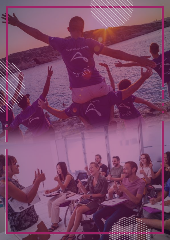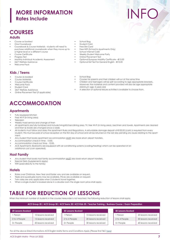# **MORE INFORMATION Rates Include**

# **COURSES**

### **Adults**

- Course as booked
- One Coursebook
- Coursebook & Course Materials students will need to purchase additional coursebooks when they move up to a higher level or a different course
- Course Certificate
- Progress Test
- Monthly Individual Academic Assessment
- 24/7 Welfare Assistance
- Welcome Pack

### **Kids / Teens**

- Course as booked
- Course Materials
- Course Certificate
- Welcome Pack
- Student Card
- 24/7 Welfare Assistance
- Online Placement Test (if applicable)

# **ACCOMMODATION**

### **Apartments**

- Fully equipped kitchen
- Free Wi-Fi (in living area)
- **Television**
- Weekly maid service and change of linen
- All apartments are fully-furnished and include living/kitchen/dining area, TV, free Wi-Fi (in living area), bed linen and towels. Apartments are cleaned and linen & towels are changed once a week.
- All students must follow and obey the apartment Rules and Regulations. A refundable damage deposit of €100.00 (cash) is required from every student. This must be paid at school reception on the first day of school and will be returned on the last day pending any issues relating to the apartment.
- Any student that books apartment accommodation MUSI also book return airport transfers.
- Accommodation check-in time 15:00.
- Accommodation check-out time 10:00.
- ACE Apartments: Bedrooms are equipped with air-conditioning systems (cooling/heating) which can be operated at an additional cost (coin operated).

### **Host Family**

- Any student that books host family accommodation MUST also book return airport transfers.
- Special Diets (Supplements apply)
- WiFi (paid directly to the family)

### **Hotels**

- Rates over Christmas, New Year and Easter vary and are available on request.
- Triple and quadruple rooms may be available. Prices are available on request.
- Twin rates are only applicable when 2 students travel together.
- When a single student is booked alone in a double room the single room price shall apply.

# **TABLE FOR REDUCTION OF LESSONS**

When the minimum number of students in the courses hereunder is not reached, the following reduction of lessons shall apply.

| ACE Group 20 / ACE Group 30 / ACE Teens 20/ ACE Kids 20 / Teacher Training / Business Course / Exam Preparation |                     |                          |  |                     |  |                   |
|-----------------------------------------------------------------------------------------------------------------|---------------------|--------------------------|--|---------------------|--|-------------------|
| 20 Lessons Booked                                                                                               |                     | <b>30 Lessons Booked</b> |  |                     |  | 40 Lessons Booked |
| Person                                                                                                          | 0 lessons received  | Person                   |  | 15 lessons received |  | Person            |
| 2 to 4 People                                                                                                   | 15 lessons received | 2 to 4 People            |  | 20 lessons received |  | 2 to 4 People     |
| 5+ People                                                                                                       | 20 lessons received | 5+ People                |  | 30 lessons received |  | 5+ People         |

For all the above listed informations ACE English Malta Terms and Conditions Apply (Please find T&C [here\)](https://www.aceenglishmalta.com/terms-and-conditions/)

- School Bag
- Student Card
- Free SIM Card
- Free WiFi (School & Apartments Only)
- School Internet Café
- Weekly Student Welcome Party
- Online Placement Test
- Optional Europass Mobility Certificate €15.00
- Optional Exit Test for General English €15.00
- School Bag
- Courses for parents and their children will run at the same time
- Children and teenagers will be split according to age appropriate brackets. Moreover, the materials and content provided will also be age appropriate (Minimum age: 3 years old)

INFO

• A selection of optional leisure activities is available to choose from.